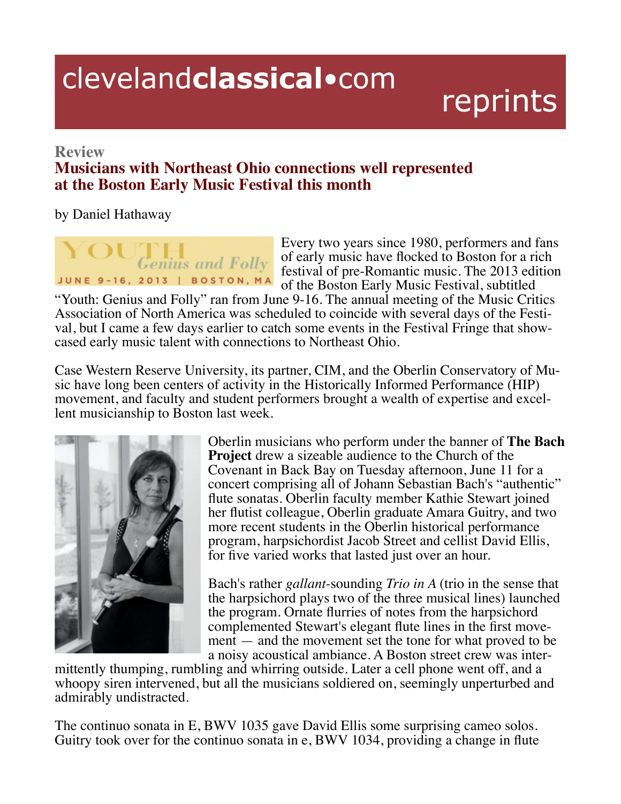## clevelandclassical.com

## reprints

## **Review**

## **Musicians with Northeast Ohio connections well represented at the Boston Early Music Festival this month**

by Daniel Hathaway



Every two years since 1980, performers and fans of early music have flocked to Boston for a rich festival of pre-Romantic music. The 2013 edition of the Boston Early Music Festival, subtitled

"Youth: Genius and Folly" ran from June 9-16. The annual meeting of the Music Critics Association of North America was scheduled to coincide with several days of the Festival, but I came a few days earlier to catch some events in the Festival Fringe that show-cased early music talent with connections to Nor

Case Western Reserve University, its partner, CIM, and the Oberlin Conservatory of Music have long been centers of activity in the Historically Informed Performance (HIP) movement, and faculty and student performers brought a wealth of expertise and excellent musicianship to Boston last week.



Oberlin musicians who perform under the banner of **The Bach Project** drew a sizeable audience to the Church of the Covenant in Back Bay on Tuesday afternoon, June 11 for a concert comprising all of Johann Sebastian Bach's "authentic" flute sonatas. Oberlin faculty member Kathie Stewart joined ber flutist colleague, Oberlin graduate Amara Guitry, and two more recent students in the Oberlin historical performance program, harpsichordist Jacob Street and cellist David Ellis, for five varied works that lasted just over an hour.

Bach's rather *gallant*-sounding *Trio in A* (trio in the sense that the harpsichord plays two of the three musical lines) launched the program. Ornate flurries of notes from the harpsichord complemented Stewart's elegant flute lines in the first movement — and the movement set the tone for what proved to be a noisy acoustical ambiance. A Boston street crew was inter-

mittently thumping, rumbling and whirring outside. Later a cell phone went off, and a whoopy siren intervened, but all the musicians soldiered on, seemingly unperturbed and admirably undistracted.

The continuo sonata in E, BWV 1035 gave David Ellis some surprising cameo solos. Guitry took over for the continuo sonata in e, BWV 1034, providing a change in flute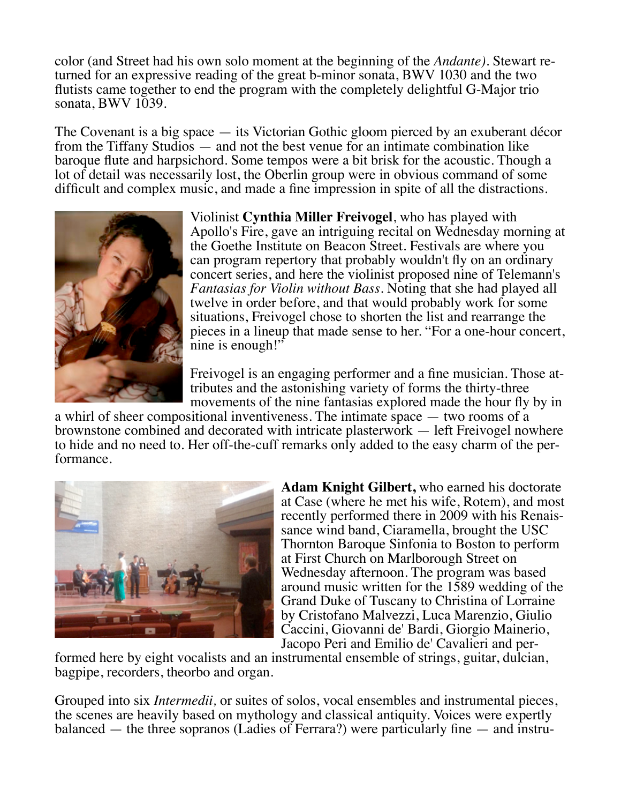.:7:=,9/%?=00?3,/34>:B9>:7:8:809?,??30-02499492:1?30*Andante)*%?0B,=?=0 turned for an expressive reading of the great b-minor sonata, BWV 1030 and the two flutists came together to end the program with the completely delightful G-Major trio sonata, BWV 1039.

The Covenant is a big space  $-$  its Victorian Gothic gloom pierced by an exuberant décor from the Tiffany Studios  $-$  and not the best venue for an intimate combination like baroque flute and harpsichord. Some tempos were a bit brisk for the acoustic. Though a 1 ot of detail was necessarily lost, the Oberlin group were in obvious command of some difficult and complex music, and made a fine impression in spite of all the distractions.



Violinist Cynthia Miller Freivogel, who has played with Apollo's Fire, gave an intriguing recital on Wednesday morning at the Goethe Institute on Beacon Street. Festivals are where you . can program repertory that probably wouldn't fly on an ordinary concert series, and here the violinist proposed nine of Telemann's *Fantasias for Violin without Bass.* Noting that she had played all twelve in order before, and that would probably work for some situations, Freivogel chose to shorten the list and rearrange the pieces in a lineup that made sense to her. "For a one-hour concert, nine is enough!"

Freivogel is an engaging performer and a fine musician. Those attributes and the astonishing variety of forms the thirty-three movements of the nine fantasias explored made the hour fly by in

a whirl of sheer compositional inventiveness. The intimate space — two rooms of a brownstone combined and decorated with intricate plasterwork — left Freivogel nowhere to hide and no need to. Her off-the-cuff remarks only added to the easy charm of the performance.



**Adam Knight Gilbert,** who earned his doctorate at Case (where he met his wife, Rotem), and most recently performed there in 2009 with his Renais-<br>sance wind band, Ciaramella, brought the USC Thornton Baroque Sinfonia to Boston to perform at First Church on Marlborough Street on Wednesday afternoon. The program was based around music written for the 1589 wedding of the Grand Duke of Tuscany to Christina of Lorraine by Cristofano Malvezzi, Luca Marenzio, Giulio Caccini, Giovanni de' Bardi, Giorgio Mainerio,<br>Jacopo Peri and Emilio de' Cavalieri and per-

formed here by eight vocalists and an instrumental ensemble of strings, guitar, dulcian, bagpipe, recorders, theorbo and organ.

Grouped into six *Intermedii*, or suites of solos, vocal ensembles and instrumental pieces, the scenes are heavily based on mythology and classical antiquity. Voices were expertly balanced  $-$  the three sopranos (Ladies of Ferrara?) were particularly fine  $-$  and instru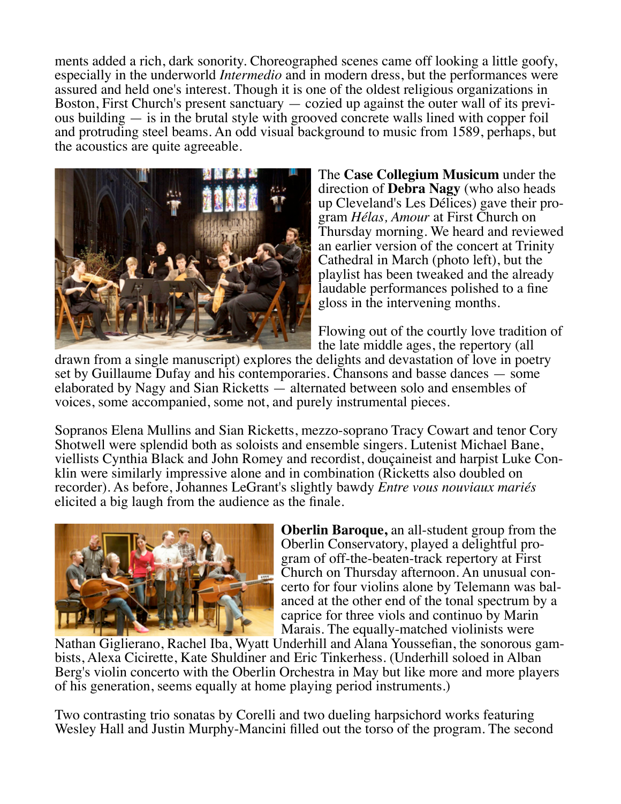ments added a rich, dark sonority. Choreographed scenes came off looking a little goofy, especially in the underworld *Intermedio* and in modern dress, but the performances were assured and held one's interest. Though it is one of the oldest religious organizations in Boston, First Church's present sanctuary  $-$  cozied up against the outer wall of its previous building  $-$  is in the brutal style with grooved concrete walls lined with copper foil and protruding steel beams. An odd visual background to music from 1589, perhaps, but the acoustics are quite agreeable.



The **Case Collegium Musicum** under the direction of **Debra Nagy** (who also heads up Cleveland's Les Délices) gave their program *Hélas, Amour* at First Church on Thursday morning. We heard and reviewed an earlier version of the concert at Trinity Cathedral in March (photo left), but the playlist has been tweaked and the already laudable performances polished to a fine. gloss in the intervening months.

Flowing out of the courtly love tradition of the late middle ages, the repertory (all

drawn from a single manuscript) explores the delights and devastation of love in poetry set by Guillaume Dufay and his contemporaries. Chansons and basse dances — some elaborated by Nagy and Sian Ricketts  $-$  alternated between solo and ensembles of voices, some accompanied, some not, and purely instrumental pieces.

Sopranos Elena Mullins and Sian Ricketts, mezzo-soprano Tracy Cowart and tenor Cory Shotwell were splendid both as soloists and ensemble singers. Lutenist Michael Bane, viellists Cynthia Black and John Romey and recordist, douçaineist and harpist Luke Conklin were similarly impressive alone and in combination (Ricketts also doubled on recorder). As before, Johannes LeGrant's slightly bawdy *Entre vous nouviaux mariés* elicited a big laugh from the audience as the finale.



**Oberlin Baroque,** an all-student group from the Oberlin Conservatory, played a delightful program of off-the-beaten-track repertory at First<br>Church on Thursday afternoon. An unusual concerto for four violins alone by Telemann was bal-<br>anced at the other end of the tonal spectrum by a caprice for three viols and continuo by Marin Marais. The equally-matched violinists were

Nathan Giglierano, Rachel Iba, Wyatt Underhill and Alana Youssefian, the sonorous gambists, Alexa Cicirette, Kate Shuldiner and Eric Tinkerhess. (Underhill soloed in Alban Berg's violin concerto with the Oberlin Orchestra in May but like more and more players of his generation, seems equally at home playing period instruments.)

Two contrasting trio sonatas by Corelli and two dueling harpsichord works featuring Wesley Hall and Justin Murphy-Mancini filled out the torso of the program. The second